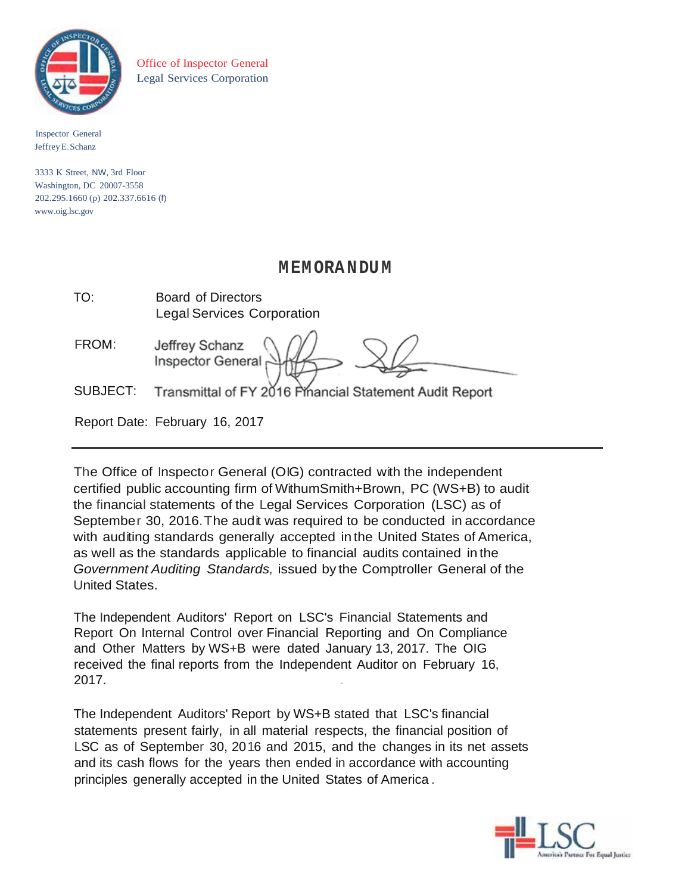

Office of Inspector General Legal Services Corporation

Inspector General JeffreyE.Schanz

3333 K Street, NW, 3rd Floor Washington, DC 20007-3558 202.295.1660 (p) 202.337.6616 (f) [www.oig.lsc.gov](http://www.oig.lsc.gov/)

# **MEMORANDUM**

| TO: | <b>Board of Directors</b>         |
|-----|-----------------------------------|
|     | <b>Legal Services Corporation</b> |

| FROM:                  | Jeffrey Schanz<br>Inspector General |                                       |  |
|------------------------|-------------------------------------|---------------------------------------|--|
| $\cap$ in if $\cap$ T. |                                     | $\lambda$ and $\lambda$ and $\lambda$ |  |

SUBJECT: Transmittal of FY 2016 Pinancial Statement Audit Report

Report Date: February 16, 2017

The Office of Inspector General (OIG) contracted with the independent certified public accounting firm of WithumSmith+Brown, PC (WS+B) to audit the financial statements of the Legal Services Corporation (LSC) as of September 30, 2016.The audit was required to be conducted in accordance with auditing standards generally accepted in the United States of America, as well as the standards applicable to financial audits contained in the *Government Auditing Standards,* issued by the Comptroller General of the United States.

The Independent Auditors' Report on LSC's Financial Statements and Report On Internal Control over Financial Reporting and On Compliance and Other Matters by WS+B were dated January 13, 2017. The OIG received the final reports from the Independent Auditor on February 16, 2017. .

The Independent Auditors' Report by WS+B stated that LSC's financial statements present fairly, in all material respects, the financial position of LSC as of September 30, 2016 and 2015, and the changes in its net assets and its cash flows for the years then ended in accordance with accounting principles generally accepted in the United States of America .

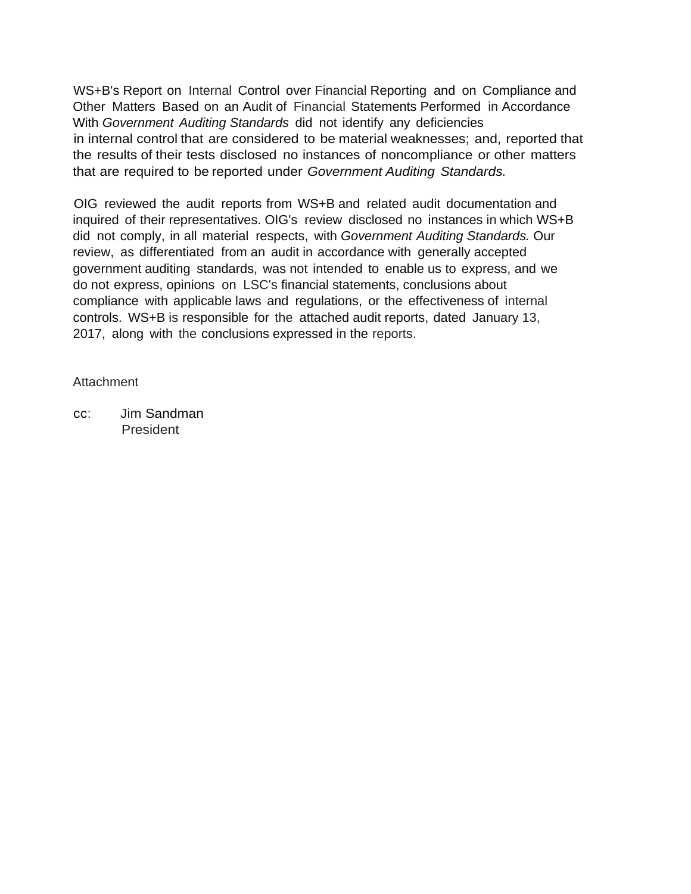WS+B's Report on Internal Control over Financial Reporting and on Compliance and Other Matters Based on an Audit of Financial Statements Performed in Accordance With *Government Auditing Standards* did not identify any deficiencies in internal control that are considered to be material weaknesses; and, reported that the results of their tests disclosed no instances of noncompliance or other matters that are required to be reported under *Government Auditing Standards.*

OIG reviewed the audit reports from WS+B and related audit documentation and inquired of their representatives. OIG's review disclosed no instances in which WS+B did not comply, in all material respects, with *Government Auditing Standards.* Our review, as differentiated from an audit in accordance with generally accepted government auditing standards, was not intended to enable us to express, and we do not express, opinions on LSC's financial statements, conclusions about compliance with applicable laws and regulations, or the effectiveness of internal controls. WS+B is responsible for the attached audit reports, dated January 13, 2017, along with the conclusions expressed in the reports.

## Attachment

cc: Jim Sandman President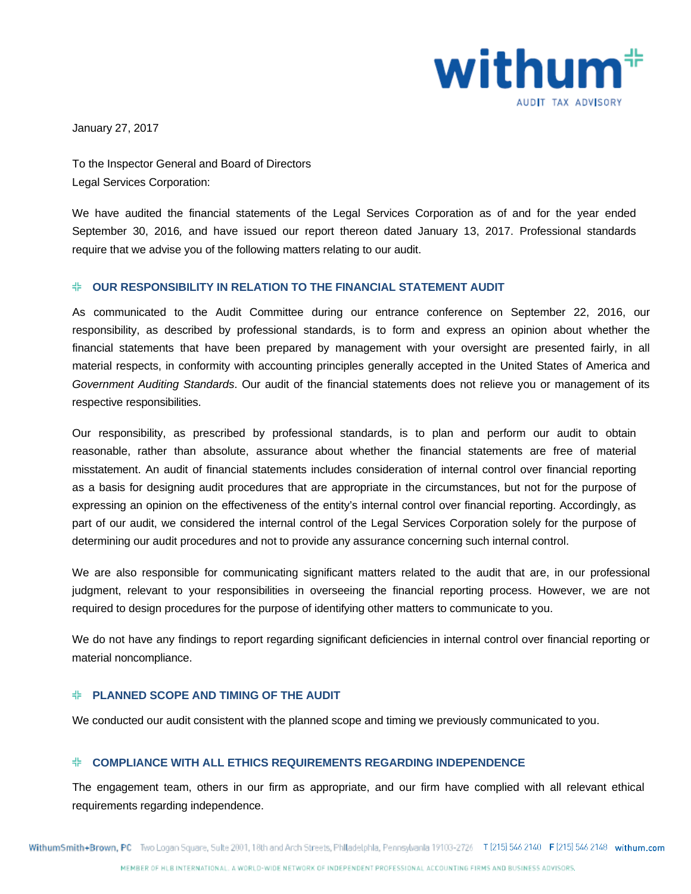

January 27, 2017

To the Inspector General and Board of Directors Legal Services Corporation:

We have audited the financial statements of the Legal Services Corporation as of and for the year ended September 30, 2016*,* and have issued our report thereon dated January 13, 2017. Professional standards require that we advise you of the following matters relating to our audit.

## **OUR RESPONSIBILITY IN RELATION TO THE FINANCIAL STATEMENT AUDIT**

As communicated to the Audit Committee during our entrance conference on September 22, 2016, our responsibility, as described by professional standards, is to form and express an opinion about whether the financial statements that have been prepared by management with your oversight are presented fairly, in all material respects, in conformity with accounting principles generally accepted in the United States of America and *Government Auditing Standards*. Our audit of the financial statements does not relieve you or management of its respective responsibilities.

Our responsibility, as prescribed by professional standards, is to plan and perform our audit to obtain reasonable, rather than absolute, assurance about whether the financial statements are free of material misstatement. An audit of financial statements includes consideration of internal control over financial reporting as a basis for designing audit procedures that are appropriate in the circumstances, but not for the purpose of expressing an opinion on the effectiveness of the entity's internal control over financial reporting. Accordingly, as part of our audit, we considered the internal control of the Legal Services Corporation solely for the purpose of determining our audit procedures and not to provide any assurance concerning such internal control.

We are also responsible for communicating significant matters related to the audit that are, in our professional judgment, relevant to your responsibilities in overseeing the financial reporting process. However, we are not required to design procedures for the purpose of identifying other matters to communicate to you.

We do not have any findings to report regarding significant deficiencies in internal control over financial reporting or material noncompliance.

## **PLANNED SCOPE AND TIMING OF THE AUDIT**

We conducted our audit consistent with the planned scope and timing we previously communicated to you.

## **COMPLIANCE WITH ALL ETHICS REQUIREMENTS REGARDING INDEPENDENCE**

The engagement team, others in our firm as appropriate, and our firm have complied with all relevant ethical requirements regarding independence.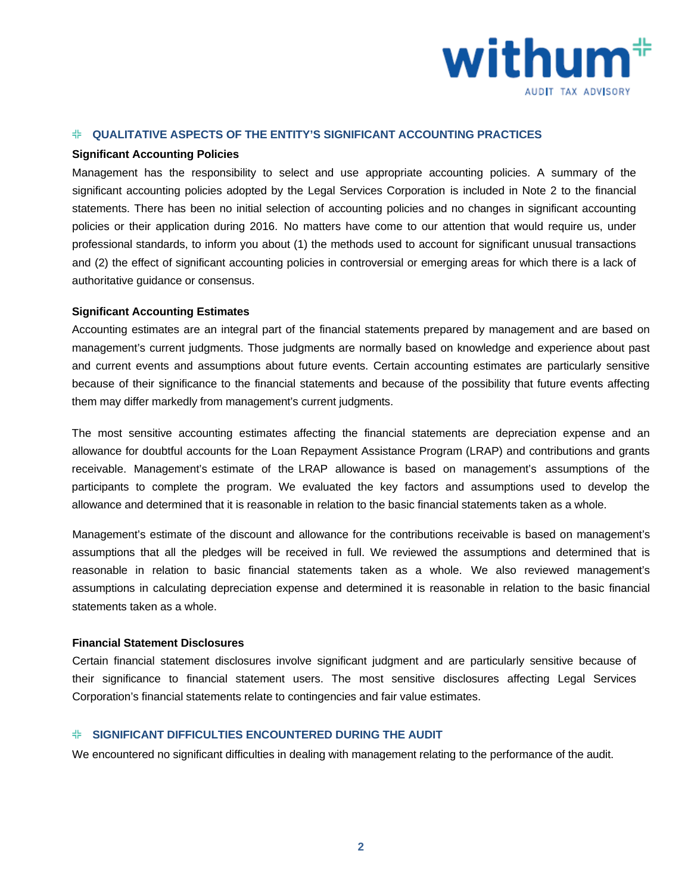

#### **QUALITATIVE ASPECTS OF THE ENTITY'S SIGNIFICANT ACCOUNTING PRACTICES**

#### **Significant Accounting Policies**

Management has the responsibility to select and use appropriate accounting policies. A summary of the significant accounting policies adopted by the Legal Services Corporation is included in Note 2 to the financial statements. There has been no initial selection of accounting policies and no changes in significant accounting policies or their application during 2016. No matters have come to our attention that would require us, under professional standards, to inform you about (1) the methods used to account for significant unusual transactions and (2) the effect of significant accounting policies in controversial or emerging areas for which there is a lack of authoritative guidance or consensus.

#### **Significant Accounting Estimates**

Accounting estimates are an integral part of the financial statements prepared by management and are based on management's current judgments. Those judgments are normally based on knowledge and experience about past and current events and assumptions about future events. Certain accounting estimates are particularly sensitive because of their significance to the financial statements and because of the possibility that future events affecting them may differ markedly from management's current judgments.

The most sensitive accounting estimates affecting the financial statements are depreciation expense and an allowance for doubtful accounts for the Loan Repayment Assistance Program (LRAP) and contributions and grants receivable. Management's estimate of the LRAP allowance is based on management's assumptions of the participants to complete the program. We evaluated the key factors and assumptions used to develop the allowance and determined that it is reasonable in relation to the basic financial statements taken as a whole.

Management's estimate of the discount and allowance for the contributions receivable is based on management's assumptions that all the pledges will be received in full. We reviewed the assumptions and determined that is reasonable in relation to basic financial statements taken as a whole. We also reviewed management's assumptions in calculating depreciation expense and determined it is reasonable in relation to the basic financial statements taken as a whole.

#### **Financial Statement Disclosures**

Certain financial statement disclosures involve significant judgment and are particularly sensitive because of their significance to financial statement users. The most sensitive disclosures affecting Legal Services Corporation's financial statements relate to contingencies and fair value estimates.

## **SIGNIFICANT DIFFICULTIES ENCOUNTERED DURING THE AUDIT**

We encountered no significant difficulties in dealing with management relating to the performance of the audit.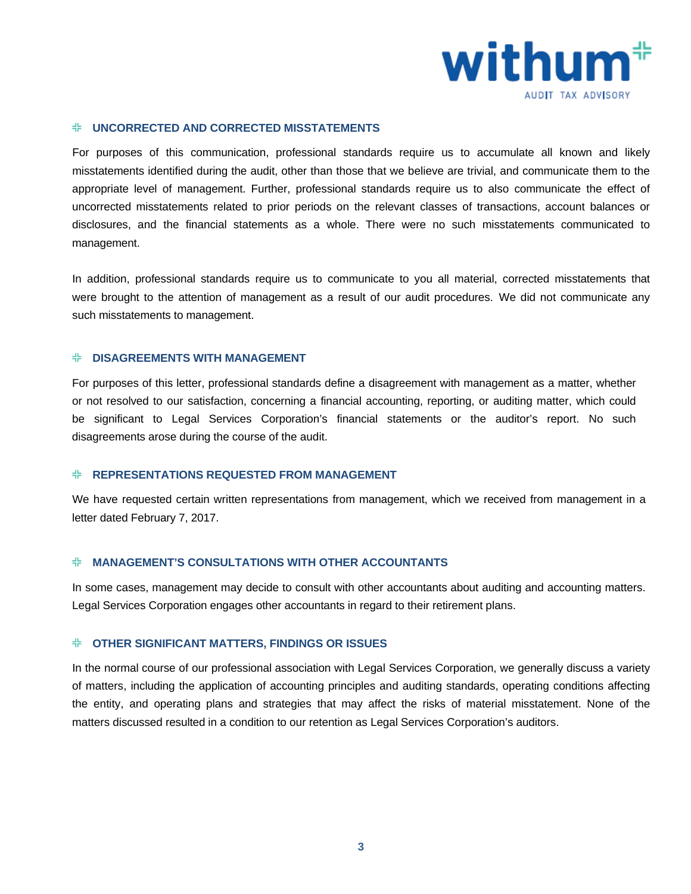

#### **UNCORRECTED AND CORRECTED MISSTATEMENTS**

For purposes of this communication, professional standards require us to accumulate all known and likely misstatements identified during the audit, other than those that we believe are trivial, and communicate them to the appropriate level of management. Further, professional standards require us to also communicate the effect of uncorrected misstatements related to prior periods on the relevant classes of transactions, account balances or disclosures, and the financial statements as a whole. There were no such misstatements communicated to management.

In addition, professional standards require us to communicate to you all material, corrected misstatements that were brought to the attention of management as a result of our audit procedures. We did not communicate any such misstatements to management.

#### **DISAGREEMENTS WITH MANAGEMENT**

For purposes of this letter, professional standards define a disagreement with management as a matter, whether or not resolved to our satisfaction, concerning a financial accounting, reporting, or auditing matter, which could be significant to Legal Services Corporation's financial statements or the auditor's report. No such disagreements arose during the course of the audit.

## **REPRESENTATIONS REQUESTED FROM MANAGEMENT**

We have requested certain written representations from management, which we received from management in a letter dated February 7, 2017.

#### **MANAGEMENT'S CONSULTATIONS WITH OTHER ACCOUNTANTS**

In some cases, management may decide to consult with other accountants about auditing and accounting matters. Legal Services Corporation engages other accountants in regard to their retirement plans.

#### **OTHER SIGNIFICANT MATTERS, FINDINGS OR ISSUES**

In the normal course of our professional association with Legal Services Corporation, we generally discuss a variety of matters, including the application of accounting principles and auditing standards, operating conditions affecting the entity, and operating plans and strategies that may affect the risks of material misstatement. None of the matters discussed resulted in a condition to our retention as Legal Services Corporation's auditors.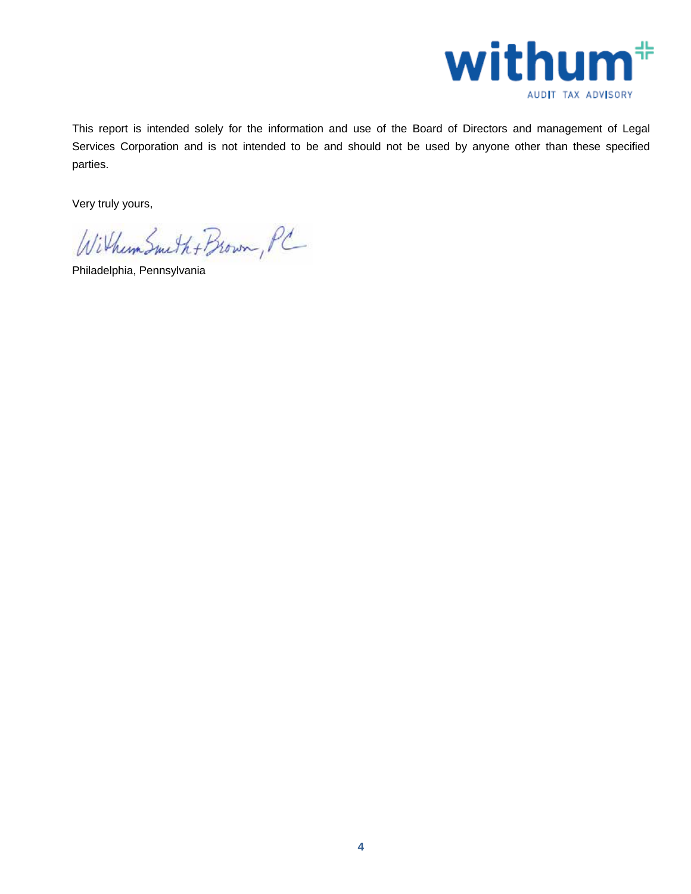

This report is intended solely for the information and use of the Board of Directors and management of Legal Services Corporation and is not intended to be and should not be used by anyone other than these specified parties.

Very truly yours,

Withum Smith + Brown, PC

Philadelphia, Pennsylvania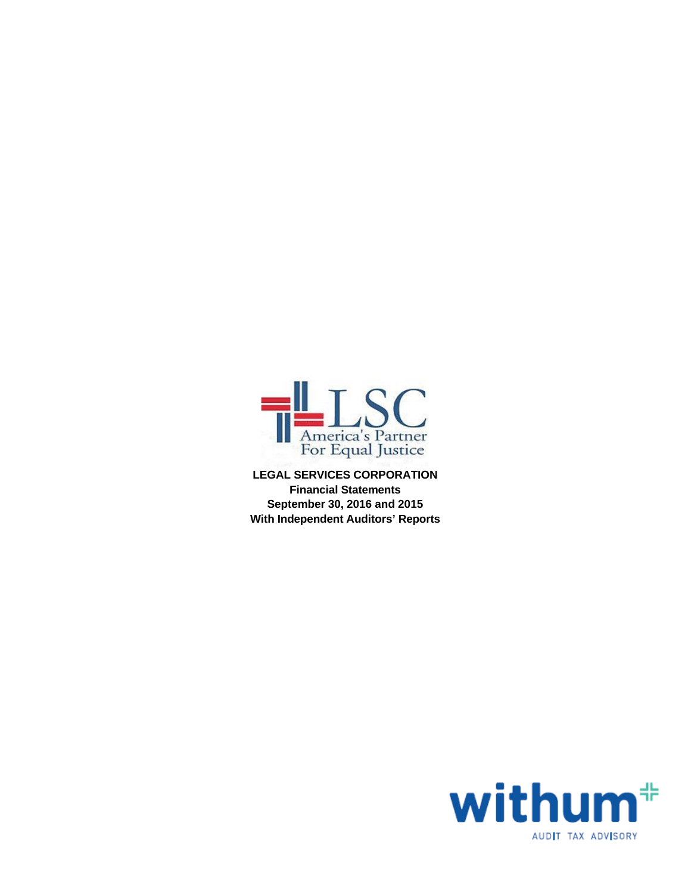

**LEGAL SERVICES CORPORATION Financial Statements September 30, 2016 and 2015 With Independent Auditors' Reports**

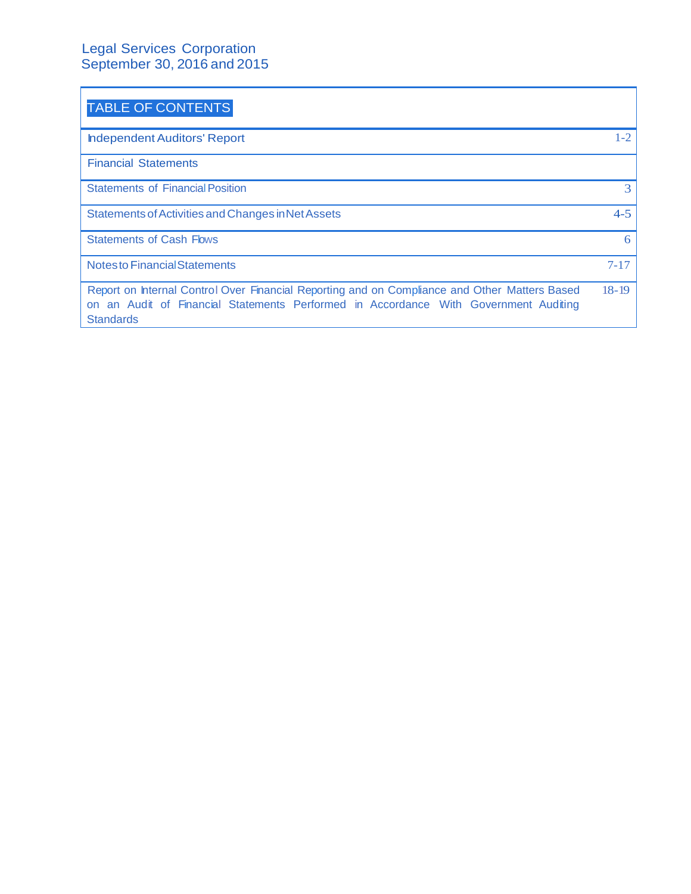# Legal Services Corporation September 30, 2016 and 2015

| <b>TABLE OF CONTENTS</b>                                                                                                                                                                                  |           |
|-----------------------------------------------------------------------------------------------------------------------------------------------------------------------------------------------------------|-----------|
| <b>Independent Auditors' Report</b>                                                                                                                                                                       | $1 - 2$   |
| <b>Financial Statements</b>                                                                                                                                                                               |           |
| <b>Statements of Financial Position</b>                                                                                                                                                                   | 3         |
| Statements of Activities and Changes in Net Assets                                                                                                                                                        | $4 - 5$   |
| <b>Statements of Cash Flows</b>                                                                                                                                                                           | 6         |
| <b>Notesto Financial Statements</b>                                                                                                                                                                       | $7 - 17$  |
| Report on Internal Control Over Financial Reporting and on Compliance and Other Matters Based<br>on an Audit of Financial Statements Performed in Accordance With Government Auditing<br><b>Standards</b> | $18 - 19$ |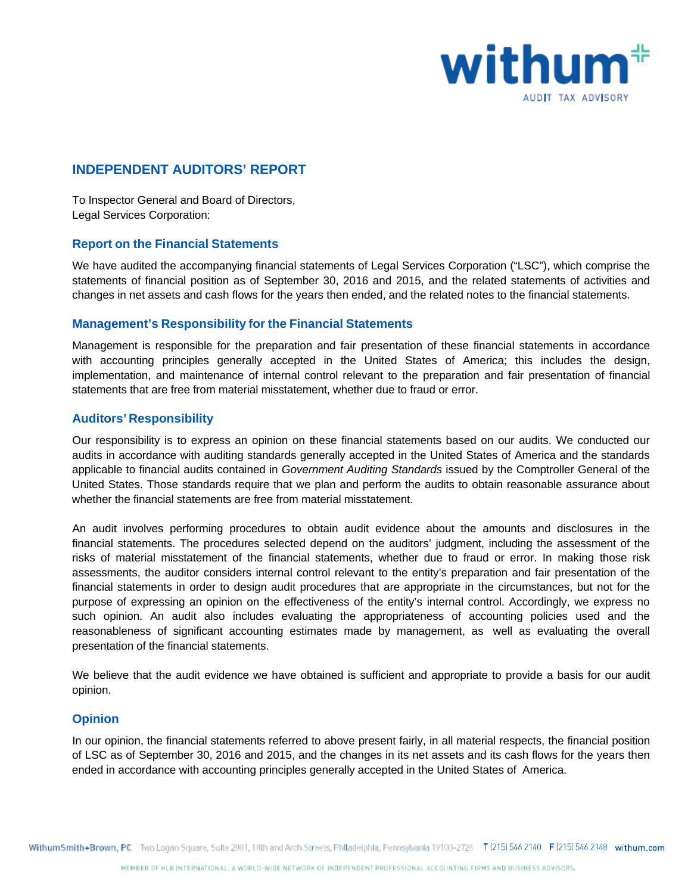

# **INDEPENDENT AUDITORS' REPORT**

To Inspector General and Board of Directors, Legal Services Corporation:

## **Report on the Financial Statements**

We have audited the accompanying financial statements of Legal Services Corporation ("LSC"), which comprise the statements of financial position as of September 30, 2016 and 2015, and the related statements of activities and changes in net assets and cash flows for the years then ended, and the related notes to the financial statements.

## **Management's Responsibility for the Financial Statements**

Management is responsible for the preparation and fair presentation of these financial statements in accordance with accounting principles generally accepted in the United States of America; this includes the design, implementation, and maintenance of internal control relevant to the preparation and fair presentation of financial statements that are free from material misstatement, whether due to fraud or error.

## **Auditors' Responsibility**

Our responsibility is to express an opinion on these financial statements based on our audits. We conducted our audits in accordance with auditing standards generally accepted in the United States of America and the standards applicable to financial audits contained in *Government Auditing Standards* issued by the Comptroller General of the United States. Those standards require that we plan and perform the audits to obtain reasonable assurance about whether the financial statements are free from material misstatement.

An audit involves performing procedures to obtain audit evidence about the amounts and disclosures in the financial statements. The procedures selected depend on the auditors' judgment, including the assessment of the risks of material misstatement of the financial statements, whether due to fraud or error. In making those risk assessments, the auditor considers internal control relevant to the entity's preparation and fair presentation of the financial statements in order to design audit procedures that are appropriate in the circumstances, but not for the purpose of expressing an opinion on the effectiveness of the entity's internal control. Accordingly, we express no such opinion. An audit also includes evaluating the appropriateness of accounting policies used and the reasonableness of significant accounting estimates made by management, as well as evaluating the overall presentation of the financial statements.

We believe that the audit evidence we have obtained is sufficient and appropriate to provide a basis for our audit opinion.

## **Opinion**

In our opinion, the financial statements referred to above present fairly, in all material respects, the financial position of LSC as of September 30, 2016 and 2015, and the changes in its net assets and its cash flows for the years then ended in accordance with accounting principles generally accepted in the United States of America.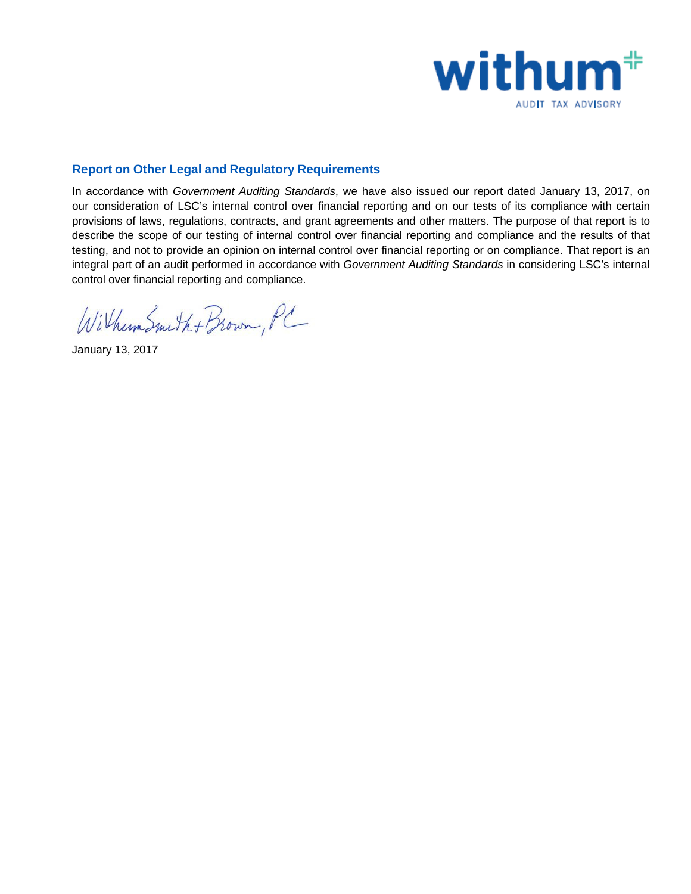

## **Report on Other Legal and Regulatory Requirements**

In accordance with *Government Auditing Standards*, we have also issued our report dated January 13, 2017, on our consideration of LSC's internal control over financial reporting and on our tests of its compliance with certain provisions of laws, regulations, contracts, and grant agreements and other matters. The purpose of that report is to describe the scope of our testing of internal control over financial reporting and compliance and the results of that testing, and not to provide an opinion on internal control over financial reporting or on compliance. That report is an integral part of an audit performed in accordance with *Government Auditing Standards* in considering LSC's internal control over financial reporting and compliance.

Withum Smith + Brown, PC

January 13, 2017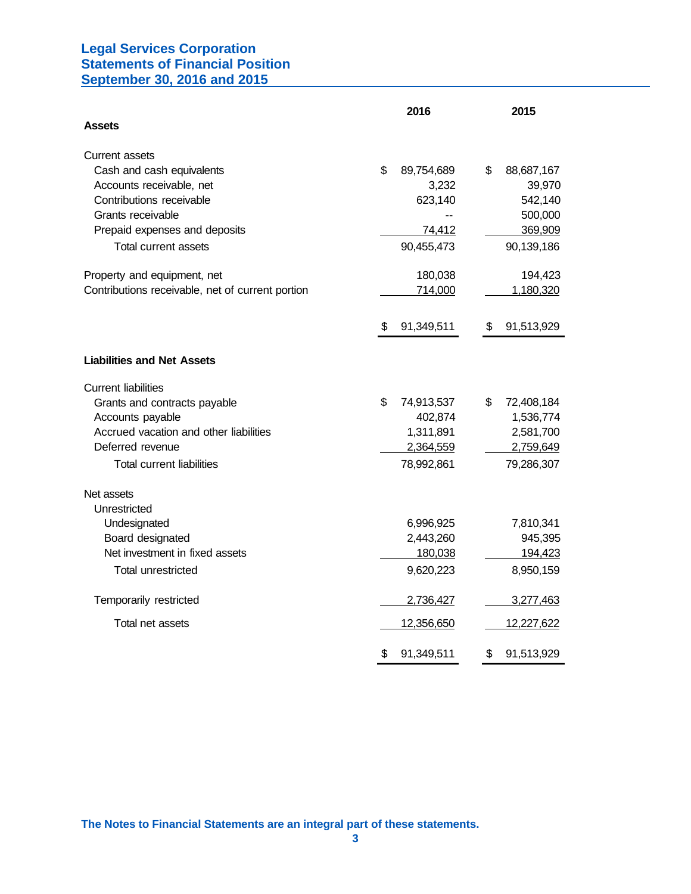## **Legal Services Corporation Statements of Financial Position September 30, 2016 and 2015**

|                                                  | 2016             | 2015              |
|--------------------------------------------------|------------------|-------------------|
| <b>Assets</b>                                    |                  |                   |
| <b>Current assets</b>                            |                  |                   |
| Cash and cash equivalents                        | \$<br>89,754,689 | \$<br>88,687,167  |
| Accounts receivable, net                         | 3,232            | 39,970            |
| Contributions receivable                         | 623,140          | 542,140           |
| Grants receivable                                |                  | 500,000           |
| Prepaid expenses and deposits                    | 74,412           | 369,909           |
| <b>Total current assets</b>                      | 90,455,473       | 90,139,186        |
| Property and equipment, net                      | 180,038          | 194,423           |
| Contributions receivable, net of current portion | 714,000          | 1,180,320         |
|                                                  | 91,349,511<br>S  | 91,513,929<br>\$  |
| <b>Liabilities and Net Assets</b>                |                  |                   |
| <b>Current liabilities</b>                       |                  |                   |
| Grants and contracts payable                     | \$<br>74,913,537 | \$.<br>72,408,184 |
| Accounts payable                                 | 402,874          | 1,536,774         |
| Accrued vacation and other liabilities           | 1,311,891        | 2,581,700         |
| Deferred revenue                                 | 2,364,559        | 2,759,649         |
| <b>Total current liabilities</b>                 | 78,992,861       | 79,286,307        |
| Net assets                                       |                  |                   |
| Unrestricted                                     |                  |                   |
| Undesignated                                     | 6,996,925        | 7,810,341         |
| Board designated                                 | 2,443,260        | 945,395           |
| Net investment in fixed assets                   | 180,038          | 194,423           |
| <b>Total unrestricted</b>                        | 9,620,223        | 8,950,159         |
| Temporarily restricted                           | 2,736,427        | 3,277,463         |
| Total net assets                                 | 12,356,650       | 12,227,622        |
|                                                  | \$<br>91,349,511 | \$<br>91,513,929  |

**The Notes to Financial Statements are an integral part of these statements.**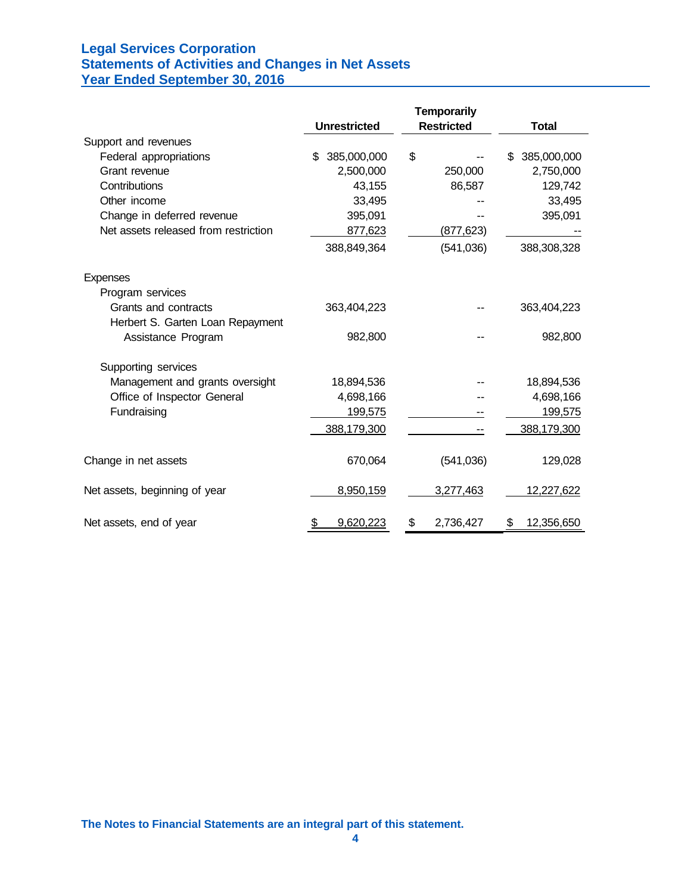# **Legal Services Corporation Statements of Activities and Changes in Net Assets Year Ended September 30, 2016**

|                                      |                     | <b>Temporarily</b> |                   |
|--------------------------------------|---------------------|--------------------|-------------------|
|                                      | <b>Unrestricted</b> | <b>Restricted</b>  | <b>Total</b>      |
| Support and revenues                 |                     |                    |                   |
| Federal appropriations               | 385,000,000<br>\$   | \$                 | 385,000,000<br>\$ |
| Grant revenue                        | 2,500,000           | 250,000            | 2,750,000         |
| Contributions                        | 43,155              | 86,587             | 129,742           |
| Other income                         | 33,495              |                    | 33,495            |
| Change in deferred revenue           | 395,091             |                    | 395,091           |
| Net assets released from restriction | 877,623             | (877, 623)         |                   |
|                                      | 388,849,364         | (541, 036)         | 388,308,328       |
| Expenses                             |                     |                    |                   |
| Program services                     |                     |                    |                   |
| Grants and contracts                 | 363,404,223         |                    | 363,404,223       |
| Herbert S. Garten Loan Repayment     |                     |                    |                   |
| Assistance Program                   | 982,800             |                    | 982,800           |
| Supporting services                  |                     |                    |                   |
| Management and grants oversight      | 18,894,536          |                    | 18,894,536        |
| Office of Inspector General          | 4,698,166           |                    | 4,698,166         |
| Fundraising                          | 199,575             |                    | 199,575           |
|                                      | 388,179,300         |                    | 388,179,300       |
| Change in net assets                 | 670,064             | (541, 036)         | 129,028           |
| Net assets, beginning of year        | 8,950,159           | 3,277,463          | 12,227,622        |
| Net assets, end of year              | 9,620,223<br>\$     | \$<br>2,736,427    | 12,356,650<br>\$  |

**The Notes to Financial Statements are an integral part of this statement.**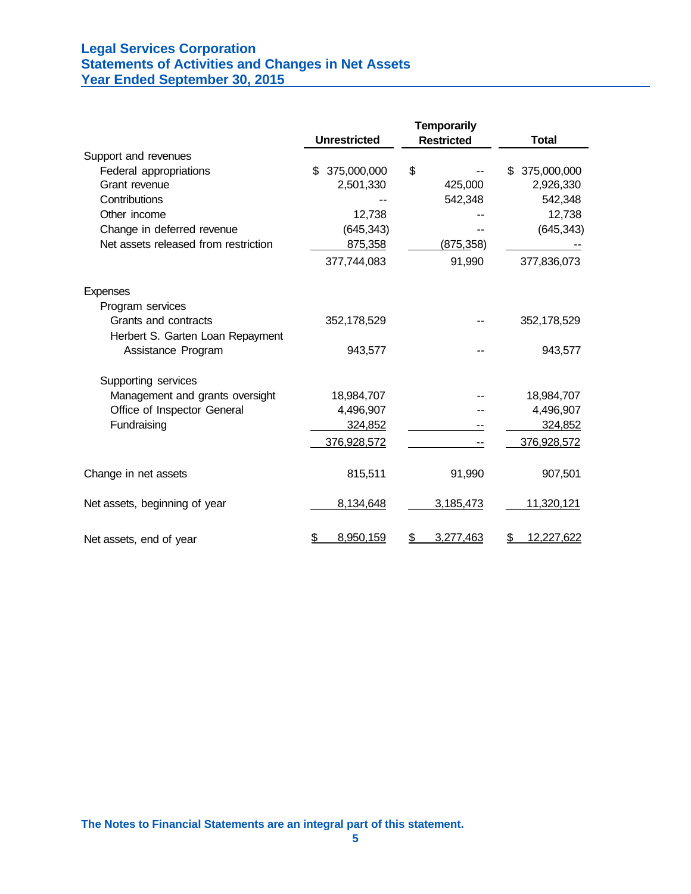# **Legal Services Corporation Statements of Activities and Changes in Net Assets Year Ended September 30, 2015**

|                                      | <b>Unrestricted</b> | <b>Temporarily</b><br><b>Restricted</b> | <b>Total</b>      |
|--------------------------------------|---------------------|-----------------------------------------|-------------------|
| Support and revenues                 |                     |                                         |                   |
| Federal appropriations               | 375,000,000<br>\$.  | \$                                      | 375,000,000<br>\$ |
| Grant revenue                        | 2,501,330           | 425,000                                 | 2,926,330         |
| Contributions                        |                     | 542,348                                 | 542,348           |
| Other income                         | 12,738              |                                         | 12,738            |
| Change in deferred revenue           | (645, 343)          |                                         | (645, 343)        |
| Net assets released from restriction | 875,358             | (875, 358)                              |                   |
|                                      | 377,744,083         | 91,990                                  | 377,836,073       |
| <b>Expenses</b>                      |                     |                                         |                   |
| Program services                     |                     |                                         |                   |
| Grants and contracts                 | 352,178,529         |                                         | 352,178,529       |
| Herbert S. Garten Loan Repayment     |                     |                                         |                   |
| Assistance Program                   | 943,577             |                                         | 943,577           |
| Supporting services                  |                     |                                         |                   |
| Management and grants oversight      | 18,984,707          |                                         | 18,984,707        |
| Office of Inspector General          | 4,496,907           |                                         | 4,496,907         |
| Fundraising                          | 324,852             |                                         | 324,852           |
|                                      | 376,928,572         |                                         | 376,928,572       |
| Change in net assets                 | 815,511             | 91,990                                  | 907,501           |
| Net assets, beginning of year        | 8,134,648           | 3,185,473                               | 11,320,121        |
| Net assets, end of year              | \$<br>8,950,159     | 3,277,463<br>S                          | \$<br>12,227,622  |

**The Notes to Financial Statements are an integral part of this statement.**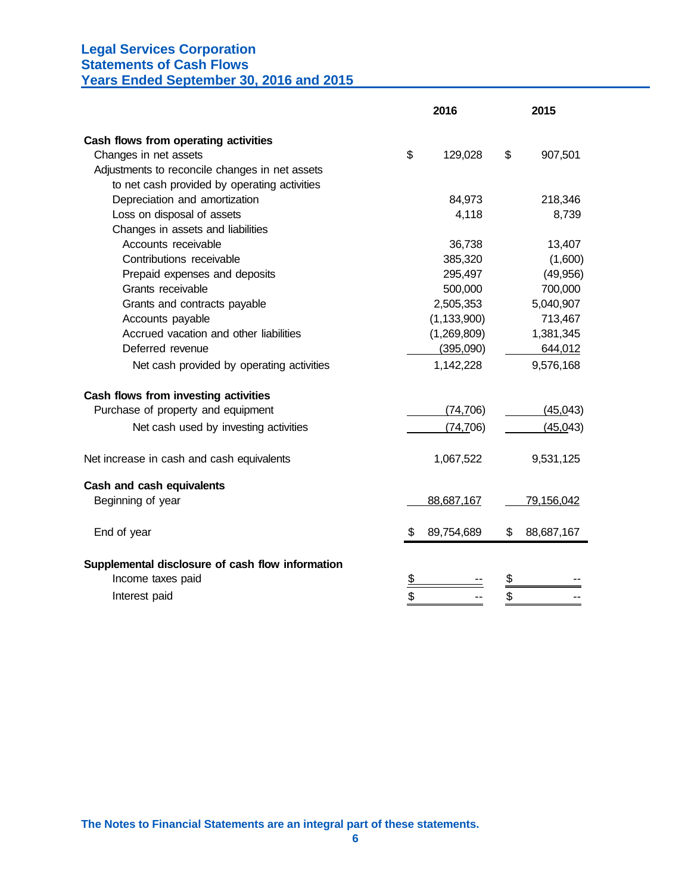# **Legal Services Corporation Statements of Cash Flows**

**Years Ended September 30, 2016 and 2015**

| Cash flows from operating activities<br>\$<br>Changes in net assets<br>129,028<br>\$<br>907,501<br>Adjustments to reconcile changes in net assets<br>to net cash provided by operating activities<br>Depreciation and amortization<br>84,973<br>218,346<br>Loss on disposal of assets<br>4,118<br>8,739 |
|---------------------------------------------------------------------------------------------------------------------------------------------------------------------------------------------------------------------------------------------------------------------------------------------------------|
|                                                                                                                                                                                                                                                                                                         |
|                                                                                                                                                                                                                                                                                                         |
|                                                                                                                                                                                                                                                                                                         |
|                                                                                                                                                                                                                                                                                                         |
|                                                                                                                                                                                                                                                                                                         |
|                                                                                                                                                                                                                                                                                                         |
| Changes in assets and liabilities                                                                                                                                                                                                                                                                       |
| Accounts receivable<br>36,738<br>13,407                                                                                                                                                                                                                                                                 |
| Contributions receivable<br>385,320<br>(1,600)                                                                                                                                                                                                                                                          |
| 295,497<br>(49, 956)<br>Prepaid expenses and deposits                                                                                                                                                                                                                                                   |
| Grants receivable<br>500,000<br>700,000                                                                                                                                                                                                                                                                 |
| 5,040,907<br>2,505,353<br>Grants and contracts payable                                                                                                                                                                                                                                                  |
| (1, 133, 900)<br>713,467<br>Accounts payable                                                                                                                                                                                                                                                            |
| Accrued vacation and other liabilities<br>(1,269,809)<br>1,381,345                                                                                                                                                                                                                                      |
| Deferred revenue<br>(395,090)<br>644,012                                                                                                                                                                                                                                                                |
| 1,142,228<br>9,576,168<br>Net cash provided by operating activities                                                                                                                                                                                                                                     |
| Cash flows from investing activities                                                                                                                                                                                                                                                                    |
| Purchase of property and equipment<br>(74, 706)<br>(45,043)                                                                                                                                                                                                                                             |
| (74, 706)<br>(45, 043)<br>Net cash used by investing activities                                                                                                                                                                                                                                         |
| Net increase in cash and cash equivalents<br>1,067,522<br>9,531,125                                                                                                                                                                                                                                     |
| Cash and cash equivalents                                                                                                                                                                                                                                                                               |
| Beginning of year<br>79,156,042<br>88,687,167                                                                                                                                                                                                                                                           |
| End of year<br>89,754,689<br>88,687,167<br>\$<br>\$                                                                                                                                                                                                                                                     |
| Supplemental disclosure of cash flow information                                                                                                                                                                                                                                                        |
| Income taxes paid<br><u>\$</u><br><u>\$</u>                                                                                                                                                                                                                                                             |
| \$<br>\$<br>Interest paid                                                                                                                                                                                                                                                                               |

**The Notes to Financial Statements are an integral part of these statements.**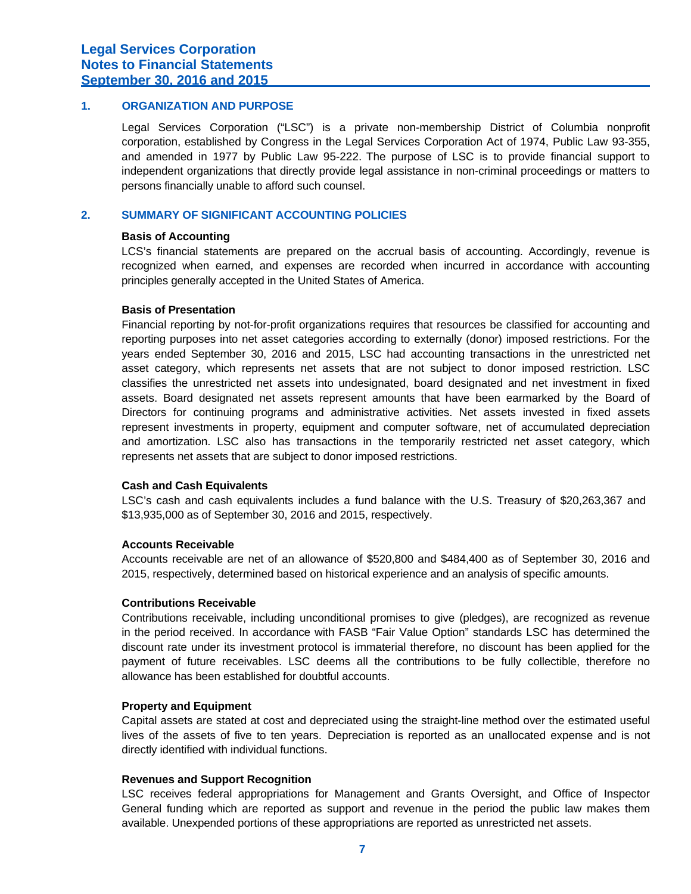## **1. ORGANIZATION AND PURPOSE**

Legal Services Corporation ("LSC") is a private non-membership District of Columbia nonprofit corporation, established by Congress in the Legal Services Corporation Act of 1974, Public Law 93-355, and amended in 1977 by Public Law 95-222. The purpose of LSC is to provide financial support to independent organizations that directly provide legal assistance in non-criminal proceedings or matters to persons financially unable to afford such counsel.

## **2. SUMMARY OF SIGNIFICANT ACCOUNTING POLICIES**

#### **Basis of Accounting**

LCS's financial statements are prepared on the accrual basis of accounting. Accordingly, revenue is recognized when earned, and expenses are recorded when incurred in accordance with accounting principles generally accepted in the United States of America.

#### **Basis of Presentation**

Financial reporting by not-for-profit organizations requires that resources be classified for accounting and reporting purposes into net asset categories according to externally (donor) imposed restrictions. For the years ended September 30, 2016 and 2015, LSC had accounting transactions in the unrestricted net asset category, which represents net assets that are not subject to donor imposed restriction. LSC classifies the unrestricted net assets into undesignated, board designated and net investment in fixed assets. Board designated net assets represent amounts that have been earmarked by the Board of Directors for continuing programs and administrative activities. Net assets invested in fixed assets represent investments in property, equipment and computer software, net of accumulated depreciation and amortization. LSC also has transactions in the temporarily restricted net asset category, which represents net assets that are subject to donor imposed restrictions.

#### **Cash and Cash Equivalents**

LSC's cash and cash equivalents includes a fund balance with the U.S. Treasury of \$20,263,367 and \$13,935,000 as of September 30, 2016 and 2015, respectively.

#### **Accounts Receivable**

Accounts receivable are net of an allowance of \$520,800 and \$484,400 as of September 30, 2016 and 2015, respectively, determined based on historical experience and an analysis of specific amounts.

#### **Contributions Receivable**

Contributions receivable, including unconditional promises to give (pledges), are recognized as revenue in the period received. In accordance with FASB "Fair Value Option" standards LSC has determined the discount rate under its investment protocol is immaterial therefore, no discount has been applied for the payment of future receivables. LSC deems all the contributions to be fully collectible, therefore no allowance has been established for doubtful accounts.

#### **Property and Equipment**

Capital assets are stated at cost and depreciated using the straight-line method over the estimated useful lives of the assets of five to ten years. Depreciation is reported as an unallocated expense and is not directly identified with individual functions.

#### **Revenues and Support Recognition**

LSC receives federal appropriations for Management and Grants Oversight, and Office of Inspector General funding which are reported as support and revenue in the period the public law makes them available. Unexpended portions of these appropriations are reported as unrestricted net assets.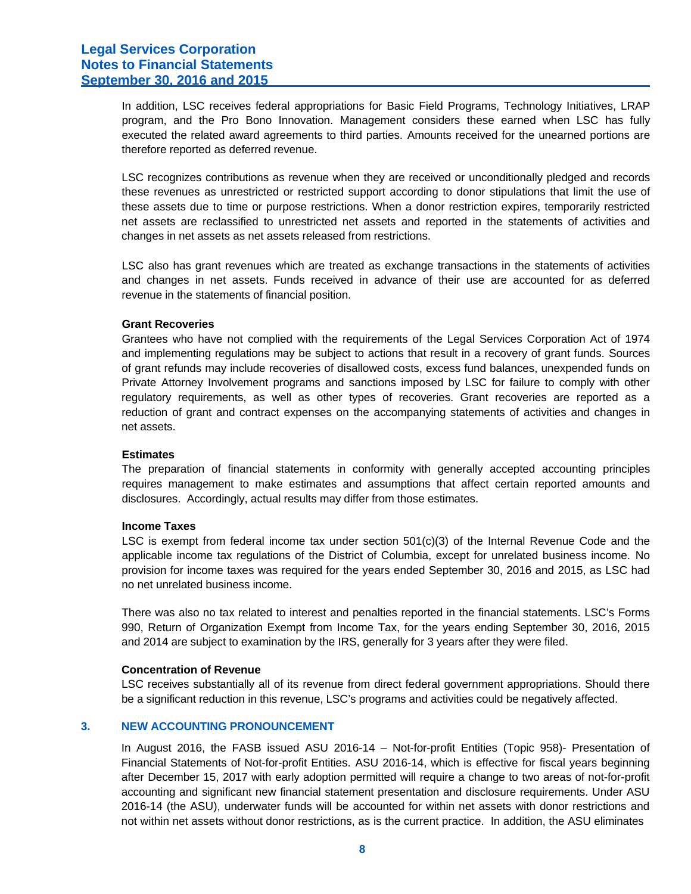In addition, LSC receives federal appropriations for Basic Field Programs, Technology Initiatives, LRAP program, and the Pro Bono Innovation. Management considers these earned when LSC has fully executed the related award agreements to third parties. Amounts received for the unearned portions are therefore reported as deferred revenue.

LSC recognizes contributions as revenue when they are received or unconditionally pledged and records these revenues as unrestricted or restricted support according to donor stipulations that limit the use of these assets due to time or purpose restrictions. When a donor restriction expires, temporarily restricted net assets are reclassified to unrestricted net assets and reported in the statements of activities and changes in net assets as net assets released from restrictions.

LSC also has grant revenues which are treated as exchange transactions in the statements of activities and changes in net assets. Funds received in advance of their use are accounted for as deferred revenue in the statements of financial position.

#### **Grant Recoveries**

Grantees who have not complied with the requirements of the Legal Services Corporation Act of 1974 and implementing regulations may be subject to actions that result in a recovery of grant funds. Sources of grant refunds may include recoveries of disallowed costs, excess fund balances, unexpended funds on Private Attorney Involvement programs and sanctions imposed by LSC for failure to comply with other regulatory requirements, as well as other types of recoveries. Grant recoveries are reported as a reduction of grant and contract expenses on the accompanying statements of activities and changes in net assets.

#### **Estimates**

The preparation of financial statements in conformity with generally accepted accounting principles requires management to make estimates and assumptions that affect certain reported amounts and disclosures. Accordingly, actual results may differ from those estimates.

## **Income Taxes**

LSC is exempt from federal income tax under section 501(c)(3) of the Internal Revenue Code and the applicable income tax regulations of the District of Columbia, except for unrelated business income. No provision for income taxes was required for the years ended September 30, 2016 and 2015, as LSC had no net unrelated business income.

There was also no tax related to interest and penalties reported in the financial statements. LSC's Forms 990, Return of Organization Exempt from Income Tax, for the years ending September 30, 2016, 2015 and 2014 are subject to examination by the IRS, generally for 3 years after they were filed.

#### **Concentration of Revenue**

LSC receives substantially all of its revenue from direct federal government appropriations. Should there be a significant reduction in this revenue, LSC's programs and activities could be negatively affected.

## **3. NEW ACCOUNTING PRONOUNCEMENT**

In August 2016, the FASB issued ASU 2016-14 – Not-for-profit Entities (Topic 958)- Presentation of Financial Statements of Not-for-profit Entities. ASU 2016-14, which is effective for fiscal years beginning after December 15, 2017 with early adoption permitted will require a change to two areas of not-for-profit accounting and significant new financial statement presentation and disclosure requirements. Under ASU 2016-14 (the ASU), underwater funds will be accounted for within net assets with donor restrictions and not within net assets without donor restrictions, as is the current practice. In addition, the ASU eliminates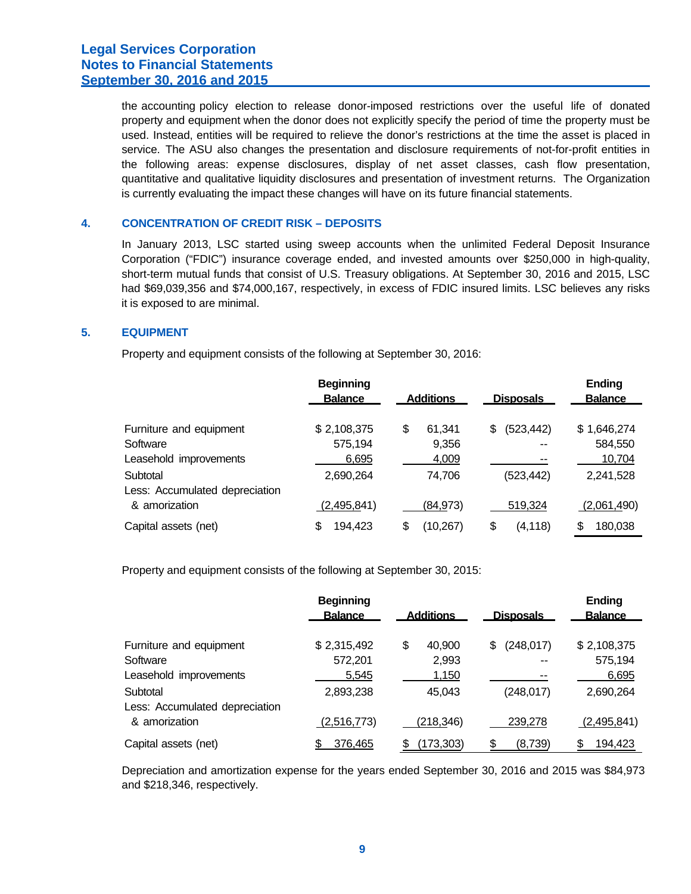the accounting policy election to release donor-imposed restrictions over the useful life of donated property and equipment when the donor does not explicitly specify the period of time the property must be used. Instead, entities will be required to relieve the donor's restrictions at the time the asset is placed in service. The ASU also changes the presentation and disclosure requirements of not-for-profit entities in the following areas: expense disclosures, display of net asset classes, cash flow presentation, quantitative and qualitative liquidity disclosures and presentation of investment returns. The Organization is currently evaluating the impact these changes will have on its future financial statements.

#### **4. CONCENTRATION OF CREDIT RISK – DEPOSITS**

In January 2013, LSC started using sweep accounts when the unlimited Federal Deposit Insurance Corporation ("FDIC") insurance coverage ended, and invested amounts over \$250,000 in high-quality, short-term mutual funds that consist of U.S. Treasury obligations. At September 30, 2016 and 2015, LSC had \$69,039,356 and \$74,000,167, respectively, in excess of FDIC insured limits. LSC believes any risks it is exposed to are minimal.

#### **5. EQUIPMENT**

Property and equipment consists of the following at September 30, 2016:

|                                | <b>Beginning</b><br><b>Balance</b><br><b>Additions</b> |                 | <b>Disposals</b>  | Ending<br><b>Balance</b> |  |
|--------------------------------|--------------------------------------------------------|-----------------|-------------------|--------------------------|--|
|                                |                                                        |                 |                   |                          |  |
| Furniture and equipment        | \$2,108,375                                            | \$<br>61.341    | (523, 442)<br>\$. | \$1,646,274              |  |
| Software                       | 575,194                                                | 9,356           | $-$               | 584,550                  |  |
| Leasehold improvements         | 6,695                                                  | 4,009           | --                | 10,704                   |  |
| Subtotal                       | 2,690,264                                              | 74,706          | (523, 442)        | 2,241,528                |  |
| Less: Accumulated depreciation |                                                        |                 |                   |                          |  |
| & amorization                  | (2,495,841)                                            | (84, 973)       | 519,324           | (2,061,490)              |  |
| Capital assets (net)           | \$<br>194,423                                          | (10, 267)<br>\$ | \$<br>(4, 118)    | 180,038<br>\$            |  |

Property and equipment consists of the following at September 30, 2015:

|                                | <b>Beginning</b><br><b>Balance</b> | <b>Additions</b> | <b>Disposals</b> | Ending<br><b>Balance</b> |
|--------------------------------|------------------------------------|------------------|------------------|--------------------------|
| Furniture and equipment        | \$2,315,492                        | \$<br>40,900     | (248, 017)<br>S  | \$2,108,375              |
| Software                       | 572,201                            | 2,993            | $-$              | 575,194                  |
| Leasehold improvements         | 5,545                              | 1,150            | --               | 6,695                    |
| Subtotal                       | 2,893,238                          | 45,043           | (248, 017)       | 2,690,264                |
| Less: Accumulated depreciation |                                    |                  |                  |                          |
| & amorization                  | (2,516,773)                        | (218, 346)       | 239,278          | (2,495,841)              |
| Capital assets (net)           | 376,465                            | (173, 303)<br>S  | (8,739)          | 194,423                  |

Depreciation and amortization expense for the years ended September 30, 2016 and 2015 was \$84,973 and \$218,346, respectively.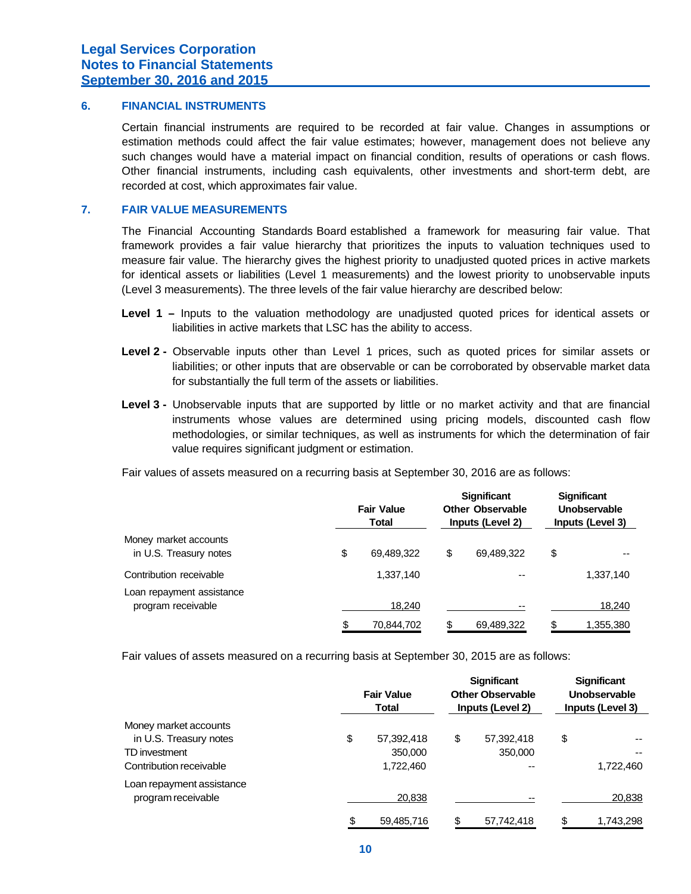## **6. FINANCIAL INSTRUMENTS**

Certain financial instruments are required to be recorded at fair value. Changes in assumptions or estimation methods could affect the fair value estimates; however, management does not believe any such changes would have a material impact on financial condition, results of operations or cash flows. Other financial instruments, including cash equivalents, other investments and short-term debt, are recorded at cost, which approximates fair value.

### **7. FAIR VALUE MEASUREMENTS**

The Financial Accounting Standards Board established a framework for measuring fair value. That framework provides a fair value hierarchy that prioritizes the inputs to valuation techniques used to measure fair value. The hierarchy gives the highest priority to unadjusted quoted prices in active markets for identical assets or liabilities (Level 1 measurements) and the lowest priority to unobservable inputs (Level 3 measurements). The three levels of the fair value hierarchy are described below:

- **Level 1 –** Inputs to the valuation methodology are unadjusted quoted prices for identical assets or liabilities in active markets that LSC has the ability to access.
- **Level 2 -** Observable inputs other than Level 1 prices, such as quoted prices for similar assets or liabilities; or other inputs that are observable or can be corroborated by observable market data for substantially the full term of the assets or liabilities.
- **Level 3 -** Unobservable inputs that are supported by little or no market activity and that are financial instruments whose values are determined using pricing models, discounted cash flow methodologies, or similar techniques, as well as instruments for which the determination of fair value requires significant judgment or estimation.

Fair values of assets measured on a recurring basis at September 30, 2016 are as follows:

|                                                 | <b>Fair Value</b><br>Total |            | <b>Significant</b><br><b>Other Observable</b><br>Inputs (Level 2) |            | <b>Significant</b><br>Unobservable<br>Inputs (Level 3) |           |
|-------------------------------------------------|----------------------------|------------|-------------------------------------------------------------------|------------|--------------------------------------------------------|-----------|
| Money market accounts<br>in U.S. Treasury notes | \$                         | 69,489,322 | \$                                                                | 69,489,322 | \$                                                     |           |
| Contribution receivable                         |                            | 1,337,140  |                                                                   | --         |                                                        | 1,337,140 |
| Loan repayment assistance<br>program receivable |                            | 18,240     |                                                                   | --         |                                                        | 18,240    |
|                                                 | \$                         | 70,844,702 | S                                                                 | 69,489,322 |                                                        | 1,355,380 |

Fair values of assets measured on a recurring basis at September 30, 2015 are as follows:

|                           | <b>Fair Value</b><br>Total |    | <b>Significant</b><br><b>Other Observable</b><br>Inputs (Level 2) |    | <b>Significant</b><br>Unobservable<br>Inputs (Level 3) |  |
|---------------------------|----------------------------|----|-------------------------------------------------------------------|----|--------------------------------------------------------|--|
| Money market accounts     |                            |    |                                                                   |    |                                                        |  |
| in U.S. Treasury notes    | \$<br>57,392,418           | \$ | 57,392,418                                                        | \$ | --                                                     |  |
| TD investment             | 350,000                    |    | 350,000                                                           |    | $ -$                                                   |  |
| Contribution receivable   | 1,722,460                  |    | --                                                                |    | 1,722,460                                              |  |
| Loan repayment assistance |                            |    |                                                                   |    |                                                        |  |
| program receivable        | 20,838                     |    | --                                                                |    | 20,838                                                 |  |
|                           | \$<br>59,485,716           | \$ | 57,742,418                                                        | \$ | 1,743,298                                              |  |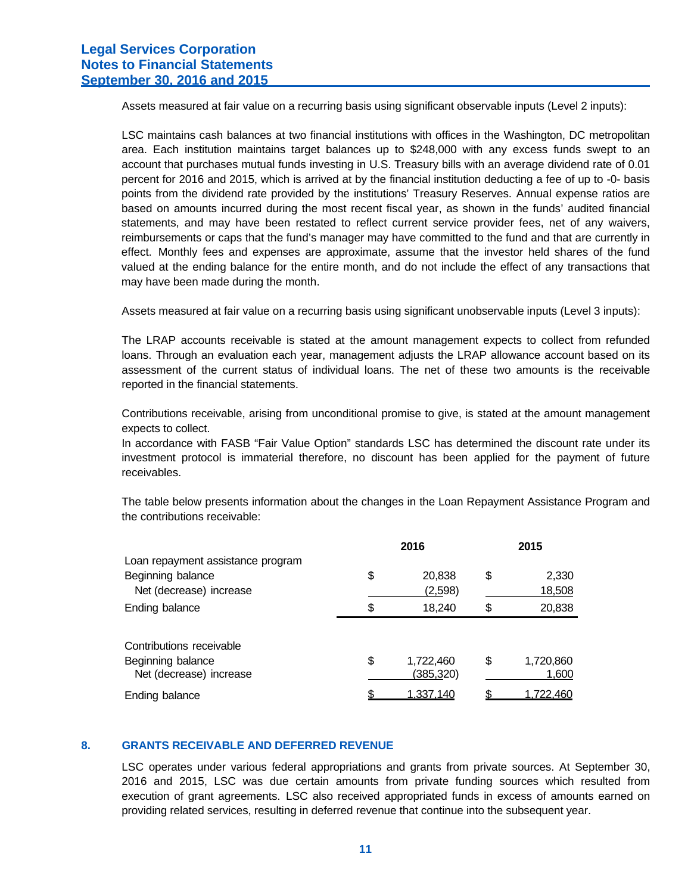Assets measured at fair value on a recurring basis using significant observable inputs (Level 2 inputs):

LSC maintains cash balances at two financial institutions with offices in the Washington, DC metropolitan area. Each institution maintains target balances up to \$248,000 with any excess funds swept to an account that purchases mutual funds investing in U.S. Treasury bills with an average dividend rate of 0.01 percent for 2016 and 2015, which is arrived at by the financial institution deducting a fee of up to -0- basis points from the dividend rate provided by the institutions' Treasury Reserves. Annual expense ratios are based on amounts incurred during the most recent fiscal year, as shown in the funds' audited financial statements, and may have been restated to reflect current service provider fees, net of any waivers, reimbursements or caps that the fund's manager may have committed to the fund and that are currently in effect. Monthly fees and expenses are approximate, assume that the investor held shares of the fund valued at the ending balance for the entire month, and do not include the effect of any transactions that may have been made during the month.

Assets measured at fair value on a recurring basis using significant unobservable inputs (Level 3 inputs):

The LRAP accounts receivable is stated at the amount management expects to collect from refunded loans. Through an evaluation each year, management adjusts the LRAP allowance account based on its assessment of the current status of individual loans. The net of these two amounts is the receivable reported in the financial statements.

Contributions receivable, arising from unconditional promise to give, is stated at the amount management expects to collect.

In accordance with FASB "Fair Value Option" standards LSC has determined the discount rate under its investment protocol is immaterial therefore, no discount has been applied for the payment of future receivables.

The table below presents information about the changes in the Loan Repayment Assistance Program and the contributions receivable:

| 2016            | 2015 |           |  |
|-----------------|------|-----------|--|
|                 |      |           |  |
| \$<br>20,838    | \$   | 2,330     |  |
| (2,598)         |      | 18,508    |  |
| \$<br>18,240    | \$   | 20,838    |  |
|                 |      |           |  |
|                 |      |           |  |
| \$<br>1,722,460 | \$   | 1,720,860 |  |
| (385,320)       |      | 1,600     |  |
| 1,337,140       |      | 1,722,460 |  |
|                 |      |           |  |

#### **8. GRANTS RECEIVABLE AND DEFERRED REVENUE**

LSC operates under various federal appropriations and grants from private sources. At September 30, 2016 and 2015, LSC was due certain amounts from private funding sources which resulted from execution of grant agreements. LSC also received appropriated funds in excess of amounts earned on providing related services, resulting in deferred revenue that continue into the subsequent year.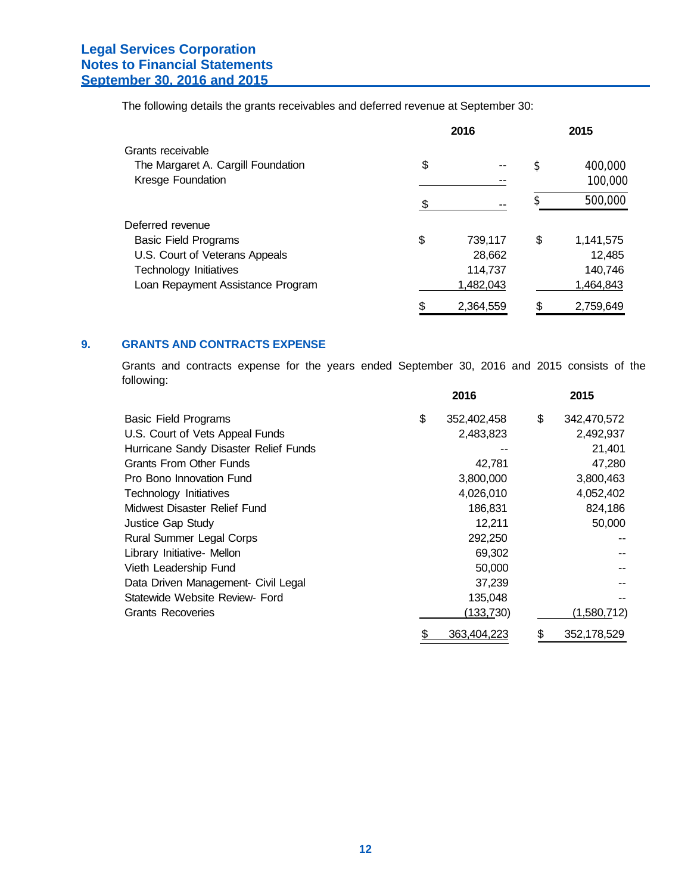The following details the grants receivables and deferred revenue at September 30:

|                                    |    | 2016      | 2015            |
|------------------------------------|----|-----------|-----------------|
| Grants receivable                  |    |           |                 |
| The Margaret A. Cargill Foundation | \$ |           | \$<br>400,000   |
| Kresge Foundation                  |    |           | 100,000         |
|                                    | ß. |           | 500,000         |
| Deferred revenue                   |    |           |                 |
| <b>Basic Field Programs</b>        | \$ | 739,117   | \$<br>1,141,575 |
| U.S. Court of Veterans Appeals     |    | 28,662    | 12,485          |
| Technology Initiatives             |    | 114,737   | 140,746         |
| Loan Repayment Assistance Program  |    | 1,482,043 | 1,464,843       |
|                                    | \$ | 2.364.559 | \$<br>2.759.649 |

## **9. GRANTS AND CONTRACTS EXPENSE**

Grants and contracts expense for the years ended September 30, 2016 and 2015 consists of the following:

|                                       | 2016              | 2015                |
|---------------------------------------|-------------------|---------------------|
| <b>Basic Field Programs</b>           | \$<br>352,402,458 | \$<br>342,470,572   |
| U.S. Court of Vets Appeal Funds       | 2,483,823         | 2,492,937           |
| Hurricane Sandy Disaster Relief Funds |                   | 21,401              |
| <b>Grants From Other Funds</b>        | 42,781            | 47,280              |
| Pro Bono Innovation Fund              | 3,800,000         | 3,800,463           |
| Technology Initiatives                | 4,026,010         | 4,052,402           |
| Midwest Disaster Relief Fund          | 186,831           | 824,186             |
| Justice Gap Study                     | 12,211            | 50,000              |
| <b>Rural Summer Legal Corps</b>       | 292,250           |                     |
| Library Initiative- Mellon            | 69,302            |                     |
| Vieth Leadership Fund                 | 50,000            |                     |
| Data Driven Management- Civil Legal   | 37,239            |                     |
| Statewide Website Review- Ford        | 135,048           |                     |
| <b>Grants Recoveries</b>              | (133, 730)        | <u>(1,580,7</u> 12) |
|                                       | \$<br>363,404,223 | \$<br>352,178,529   |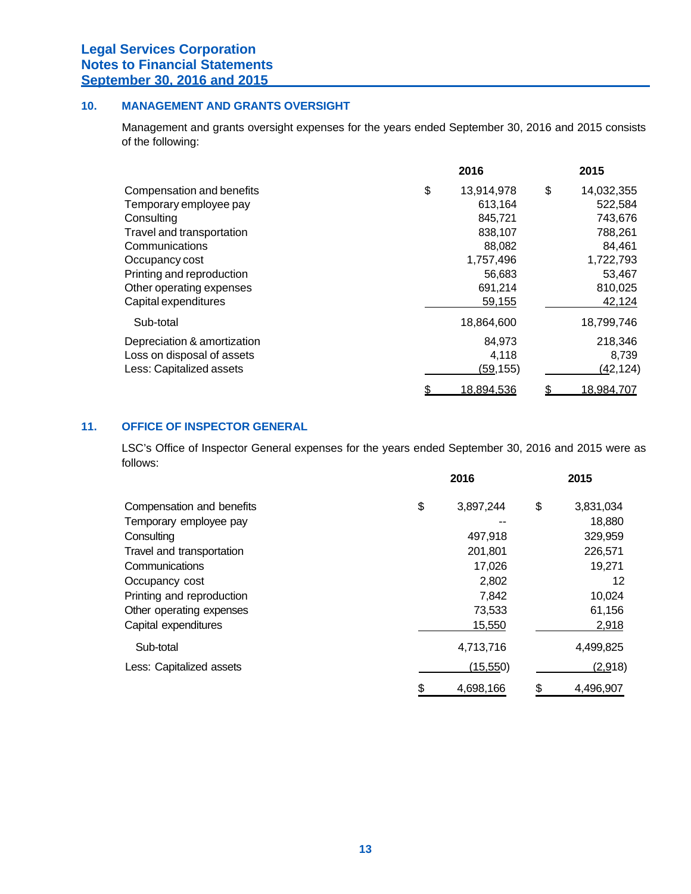## **10. MANAGEMENT AND GRANTS OVERSIGHT**

Management and grants oversight expenses for the years ended September 30, 2016 and 2015 consists of the following:

|                             | 2016             | 2015             |
|-----------------------------|------------------|------------------|
| Compensation and benefits   | \$<br>13,914,978 | \$<br>14,032,355 |
| Temporary employee pay      | 613,164          | 522,584          |
| Consulting                  | 845,721          | 743,676          |
| Travel and transportation   | 838,107          | 788,261          |
| Communications              | 88,082           | 84,461           |
| Occupancy cost              | 1,757,496        | 1,722,793        |
| Printing and reproduction   | 56,683           | 53,467           |
| Other operating expenses    | 691,214          | 810,025          |
| Capital expenditures        | 59,155           | 42,124           |
| Sub-total                   | 18,864,600       | 18,799,746       |
| Depreciation & amortization | 84,973           | 218,346          |
| Loss on disposal of assets  | 4,118            | 8,739            |
| Less: Capitalized assets    | (59, 155)        | (42, 124)        |
|                             | \$<br>18,894,536 | 18,984,707       |

## **11. OFFICE OF INSPECTOR GENERAL**

LSC's Office of Inspector General expenses for the years ended September 30, 2016 and 2015 were as follows:

|                           | 2016            |    | 2015      |  |
|---------------------------|-----------------|----|-----------|--|
| Compensation and benefits | \$<br>3,897,244 | \$ | 3,831,034 |  |
| Temporary employee pay    |                 |    | 18,880    |  |
| Consulting                | 497,918         |    | 329,959   |  |
| Travel and transportation | 201,801         |    | 226,571   |  |
| Communications            | 17,026          |    | 19,271    |  |
| Occupancy cost            | 2,802           |    | 12        |  |
| Printing and reproduction | 7,842           |    | 10,024    |  |
| Other operating expenses  | 73,533          |    | 61,156    |  |
| Capital expenditures      | 15,550          |    | 2,918     |  |
| Sub-total                 | 4,713,716       |    | 4,499,825 |  |
| Less: Capitalized assets  | (15, 550)       |    | (2,918)   |  |
|                           | \$<br>4,698,166 | \$ | 4,496,907 |  |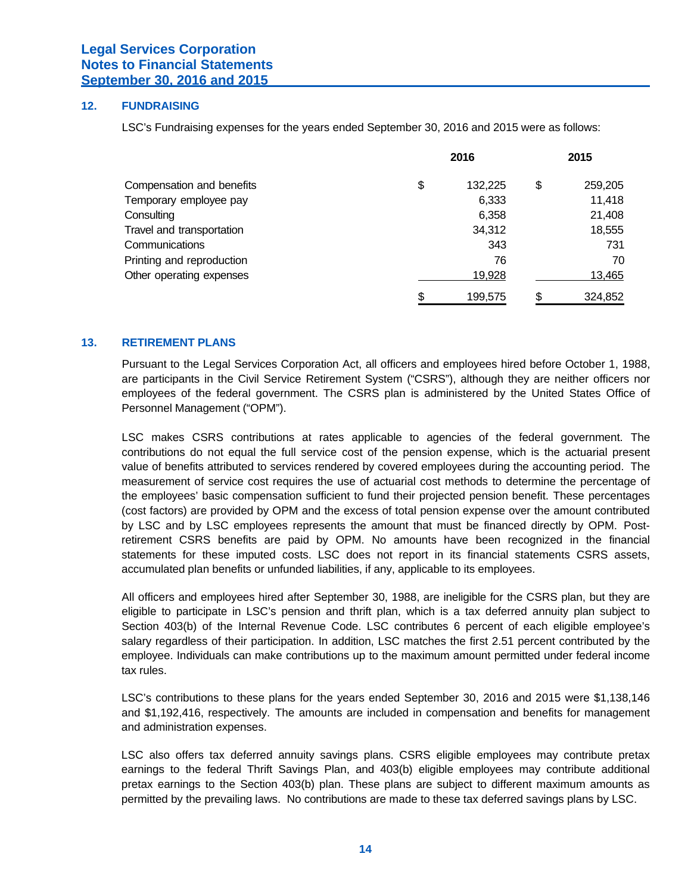### **12. FUNDRAISING**

LSC's Fundraising expenses for the years ended September 30, 2016 and 2015 were as follows:

|                           | 2016 |         | 2015 |         |
|---------------------------|------|---------|------|---------|
| Compensation and benefits | \$   | 132,225 | \$   | 259,205 |
| Temporary employee pay    |      | 6,333   |      | 11,418  |
| Consulting                |      | 6,358   |      | 21,408  |
| Travel and transportation |      | 34,312  |      | 18,555  |
| Communications            |      | 343     |      | 731     |
| Printing and reproduction |      | 76      |      | 70      |
| Other operating expenses  |      | 19,928  |      | 13,465  |
|                           | \$   | 199,575 | \$   | 324,852 |

## **13. RETIREMENT PLANS**

Pursuant to the Legal Services Corporation Act, all officers and employees hired before October 1, 1988, are participants in the Civil Service Retirement System ("CSRS"), although they are neither officers nor employees of the federal government. The CSRS plan is administered by the United States Office of Personnel Management ("OPM").

LSC makes CSRS contributions at rates applicable to agencies of the federal government. The contributions do not equal the full service cost of the pension expense, which is the actuarial present value of benefits attributed to services rendered by covered employees during the accounting period. The measurement of service cost requires the use of actuarial cost methods to determine the percentage of the employees' basic compensation sufficient to fund their projected pension benefit. These percentages (cost factors) are provided by OPM and the excess of total pension expense over the amount contributed by LSC and by LSC employees represents the amount that must be financed directly by OPM. Postretirement CSRS benefits are paid by OPM. No amounts have been recognized in the financial statements for these imputed costs. LSC does not report in its financial statements CSRS assets, accumulated plan benefits or unfunded liabilities, if any, applicable to its employees.

All officers and employees hired after September 30, 1988, are ineligible for the CSRS plan, but they are eligible to participate in LSC's pension and thrift plan, which is a tax deferred annuity plan subject to Section 403(b) of the Internal Revenue Code. LSC contributes 6 percent of each eligible employee's salary regardless of their participation. In addition, LSC matches the first 2.51 percent contributed by the employee. Individuals can make contributions up to the maximum amount permitted under federal income tax rules.

LSC's contributions to these plans for the years ended September 30, 2016 and 2015 were \$1,138,146 and \$1,192,416, respectively. The amounts are included in compensation and benefits for management and administration expenses.

LSC also offers tax deferred annuity savings plans. CSRS eligible employees may contribute pretax earnings to the federal Thrift Savings Plan, and 403(b) eligible employees may contribute additional pretax earnings to the Section 403(b) plan. These plans are subject to different maximum amounts as permitted by the prevailing laws. No contributions are made to these tax deferred savings plans by LSC.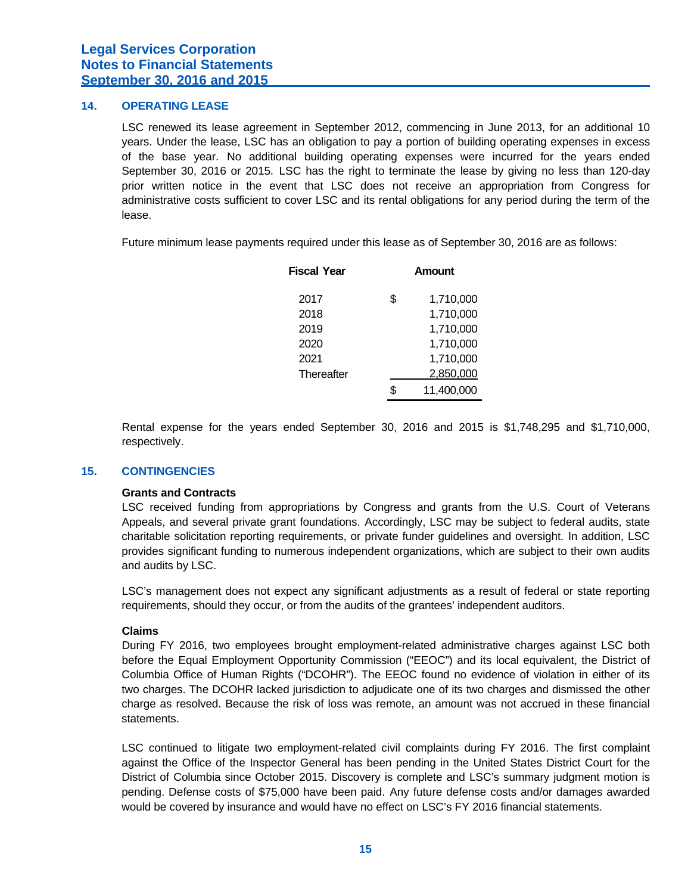## **14. OPERATING LEASE**

LSC renewed its lease agreement in September 2012, commencing in June 2013, for an additional 10 years. Under the lease, LSC has an obligation to pay a portion of building operating expenses in excess of the base year. No additional building operating expenses were incurred for the years ended September 30, 2016 or 2015. LSC has the right to terminate the lease by giving no less than 120-day prior written notice in the event that LSC does not receive an appropriation from Congress for administrative costs sufficient to cover LSC and its rental obligations for any period during the term of the lease.

Future minimum lease payments required under this lease as of September 30, 2016 are as follows:

| <b>Fiscal Year</b> |     | Amount     |  |  |  |
|--------------------|-----|------------|--|--|--|
| 2017               | \$. | 1,710,000  |  |  |  |
| 2018               |     | 1,710,000  |  |  |  |
| 2019               |     | 1,710,000  |  |  |  |
| 2020               |     | 1,710,000  |  |  |  |
| 2021               |     | 1,710,000  |  |  |  |
| Thereafter         |     | 2,850,000  |  |  |  |
|                    | \$. | 11,400,000 |  |  |  |

Rental expense for the years ended September 30, 2016 and 2015 is \$1,748,295 and \$1,710,000, respectively.

### **15. CONTINGENCIES**

#### **Grants and Contracts**

LSC received funding from appropriations by Congress and grants from the U.S. Court of Veterans Appeals, and several private grant foundations. Accordingly, LSC may be subject to federal audits, state charitable solicitation reporting requirements, or private funder guidelines and oversight. In addition, LSC provides significant funding to numerous independent organizations, which are subject to their own audits and audits by LSC.

LSC's management does not expect any significant adjustments as a result of federal or state reporting requirements, should they occur, or from the audits of the grantees' independent auditors.

## **Claims**

During FY 2016, two employees brought employment-related administrative charges against LSC both before the Equal Employment Opportunity Commission ("EEOC") and its local equivalent, the District of Columbia Office of Human Rights ("DCOHR"). The EEOC found no evidence of violation in either of its two charges. The DCOHR lacked jurisdiction to adjudicate one of its two charges and dismissed the other charge as resolved. Because the risk of loss was remote, an amount was not accrued in these financial statements.

LSC continued to litigate two employment-related civil complaints during FY 2016. The first complaint against the Office of the Inspector General has been pending in the United States District Court for the District of Columbia since October 2015. Discovery is complete and LSC's summary judgment motion is pending. Defense costs of \$75,000 have been paid. Any future defense costs and/or damages awarded would be covered by insurance and would have no effect on LSC's FY 2016 financial statements.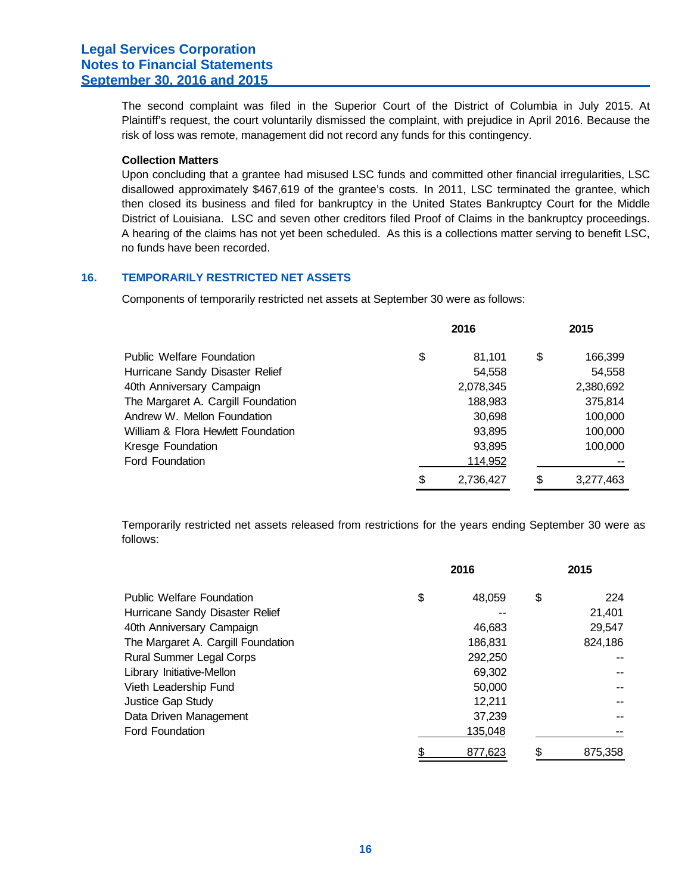The second complaint was filed in the Superior Court of the District of Columbia in July 2015. At Plaintiff's request, the court voluntarily dismissed the complaint, with prejudice in April 2016. Because the risk of loss was remote, management did not record any funds for this contingency.

#### **Collection Matters**

Upon concluding that a grantee had misused LSC funds and committed other financial irregularities, LSC disallowed approximately \$467,619 of the grantee's costs. In 2011, LSC terminated the grantee, which then closed its business and filed for bankruptcy in the United States Bankruptcy Court for the Middle District of Louisiana. LSC and seven other creditors filed Proof of Claims in the bankruptcy proceedings. A hearing of the claims has not yet been scheduled. As this is a collections matter serving to benefit LSC, no funds have been recorded.

## **16. TEMPORARILY RESTRICTED NET ASSETS**

Components of temporarily restricted net assets at September 30 were as follows:

|                                    | 2016 |           | 2015 |           |
|------------------------------------|------|-----------|------|-----------|
| <b>Public Welfare Foundation</b>   | \$   | 81.101    | \$   | 166,399   |
| Hurricane Sandy Disaster Relief    |      | 54,558    |      | 54,558    |
| 40th Anniversary Campaign          |      | 2,078,345 |      | 2,380,692 |
| The Margaret A. Cargill Foundation |      | 188,983   |      | 375,814   |
| Andrew W. Mellon Foundation        |      | 30,698    |      | 100,000   |
| William & Flora Hewlett Foundation |      | 93,895    |      | 100,000   |
| Kresge Foundation                  |      | 93,895    |      | 100,000   |
| Ford Foundation                    |      | 114,952   |      |           |
|                                    | \$   | 2,736,427 | \$   | 3,277,463 |

Temporarily restricted net assets released from restrictions for the years ending September 30 were as follows:

|                                    | 2016 |         | 2015 |         |
|------------------------------------|------|---------|------|---------|
| <b>Public Welfare Foundation</b>   | \$   | 48,059  | \$   | 224     |
| Hurricane Sandy Disaster Relief    |      |         |      | 21,401  |
| 40th Anniversary Campaign          |      | 46,683  |      | 29,547  |
| The Margaret A. Cargill Foundation |      | 186,831 |      | 824,186 |
| <b>Rural Summer Legal Corps</b>    |      | 292,250 |      |         |
| Library Initiative-Mellon          |      | 69,302  |      |         |
| Vieth Leadership Fund              |      | 50,000  |      |         |
| Justice Gap Study                  |      | 12,211  |      |         |
| Data Driven Management             |      | 37,239  |      |         |
| <b>Ford Foundation</b>             |      | 135,048 |      |         |
|                                    | \$   | 877.623 | \$   | 875.358 |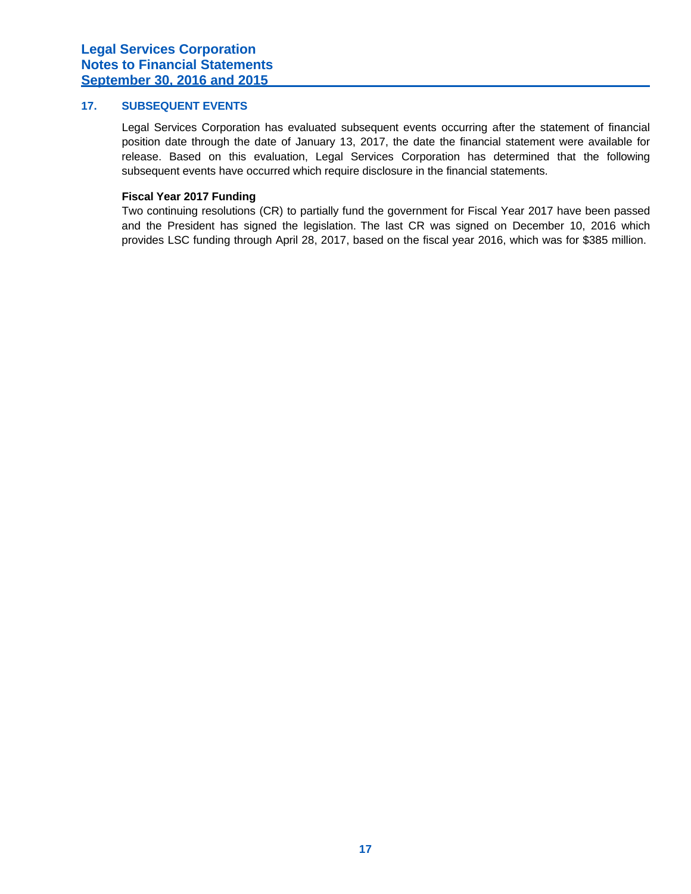## **17. SUBSEQUENT EVENTS**

Legal Services Corporation has evaluated subsequent events occurring after the statement of financial position date through the date of January 13, 2017, the date the financial statement were available for release. Based on this evaluation, Legal Services Corporation has determined that the following subsequent events have occurred which require disclosure in the financial statements.

### **Fiscal Year 2017 Funding**

Two continuing resolutions (CR) to partially fund the government for Fiscal Year 2017 have been passed and the President has signed the legislation. The last CR was signed on December 10, 2016 which provides LSC funding through April 28, 2017, based on the fiscal year 2016, which was for \$385 million.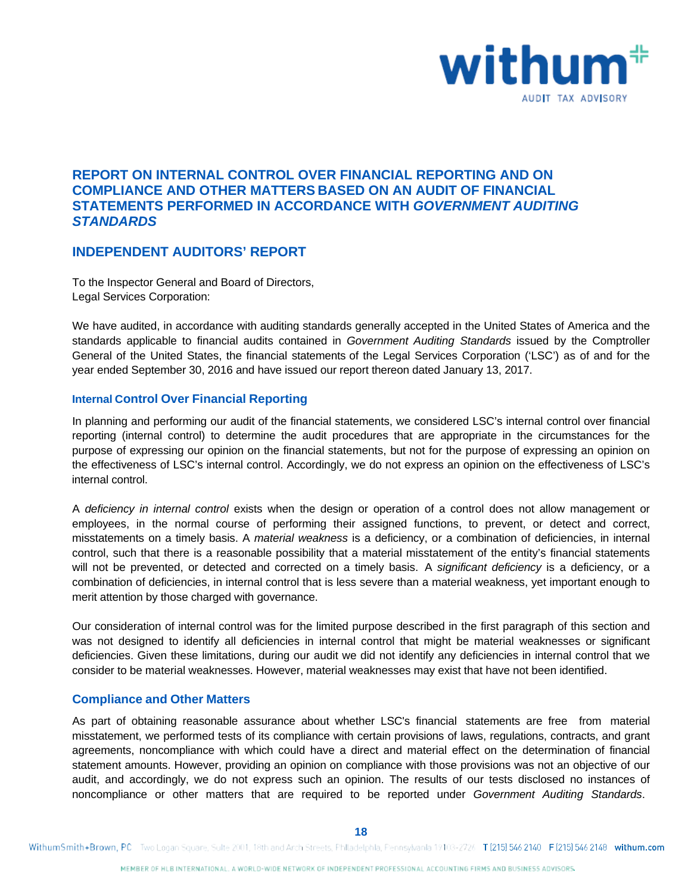

# **REPORT ON INTERNAL CONTROL OVER FINANCIAL REPORTING AND ON COMPLIANCE AND OTHER MATTERS BASED ON AN AUDIT OF FINANCIAL STATEMENTS PERFORMED IN ACCORDANCE WITH** *GOVERNMENT AUDITING STANDARDS*

## **INDEPENDENT AUDITORS' REPORT**

To the Inspector General and Board of Directors, Legal Services Corporation:

We have audited, in accordance with auditing standards generally accepted in the United States of America and the standards applicable to financial audits contained in *Government Auditing Standards* issued by the Comptroller General of the United States, the financial statements of the Legal Services Corporation ('LSC') as of and for the year ended September 30, 2016 and have issued our report thereon dated January 13, 2017.

## **Internal Control Over Financial Reporting**

In planning and performing our audit of the financial statements, we considered LSC's internal control over financial reporting (internal control) to determine the audit procedures that are appropriate in the circumstances for the purpose of expressing our opinion on the financial statements, but not for the purpose of expressing an opinion on the effectiveness of LSC's internal control. Accordingly, we do not express an opinion on the effectiveness of LSC's internal control.

A *deficiency in internal control* exists when the design or operation of a control does not allow management or employees, in the normal course of performing their assigned functions, to prevent, or detect and correct, misstatements on a timely basis. A *material weakness* is a deficiency, or a combination of deficiencies, in internal control, such that there is a reasonable possibility that a material misstatement of the entity's financial statements will not be prevented, or detected and corrected on a timely basis. A *significant deficiency* is a deficiency, or a combination of deficiencies, in internal control that is less severe than a material weakness, yet important enough to merit attention by those charged with governance.

Our consideration of internal control was for the limited purpose described in the first paragraph of this section and was not designed to identify all deficiencies in internal control that might be material weaknesses or significant deficiencies. Given these limitations, during our audit we did not identify any deficiencies in internal control that we consider to be material weaknesses. However, material weaknesses may exist that have not been identified.

## **Compliance and Other Matters**

As part of obtaining reasonable assurance about whether LSC's financial statements are free from material misstatement, we performed tests of its compliance with certain provisions of laws, regulations, contracts, and grant agreements, noncompliance with which could have a direct and material effect on the determination of financial statement amounts. However, providing an opinion on compliance with those provisions was not an objective of our audit, and accordingly, we do not express such an opinion. The results of our tests disclosed no instances of noncompliance or other matters that are required to be reported under *Government Auditing Standards*.